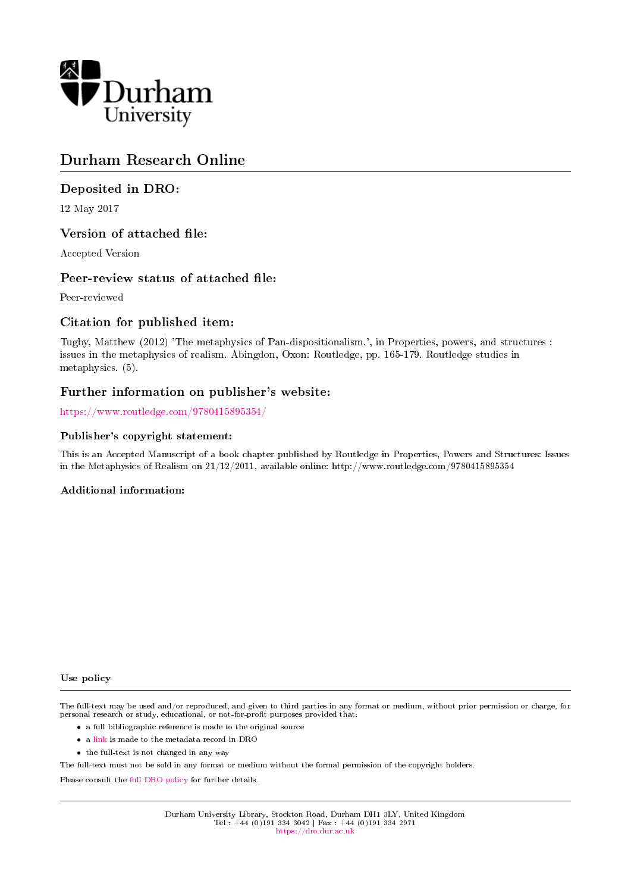

# Durham Research Online

# Deposited in DRO:

12 May 2017

# Version of attached file:

Accepted Version

# Peer-review status of attached file:

Peer-reviewed

# Citation for published item:

Tugby, Matthew (2012) 'The metaphysics of Pan-dispositionalism.', in Properties, powers, and structures : issues in the metaphysics of realism. Abingdon, Oxon: Routledge, pp. 165-179. Routledge studies in metaphysics. (5).

# Further information on publisher's website:

<https://www.routledge.com/9780415895354/>

#### Publisher's copyright statement:

This is an Accepted Manuscript of a book chapter published by Routledge in Properties, Powers and Structures: Issues in the Metaphysics of Realism on 21/12/2011, available online: http://www.routledge.com/9780415895354

#### Additional information:

#### Use policy

The full-text may be used and/or reproduced, and given to third parties in any format or medium, without prior permission or charge, for personal research or study, educational, or not-for-profit purposes provided that:

- a full bibliographic reference is made to the original source
- a [link](http://dro.dur.ac.uk/21771/) is made to the metadata record in DRO
- the full-text is not changed in any way

The full-text must not be sold in any format or medium without the formal permission of the copyright holders.

Please consult the [full DRO policy](https://dro.dur.ac.uk/policies/usepolicy.pdf) for further details.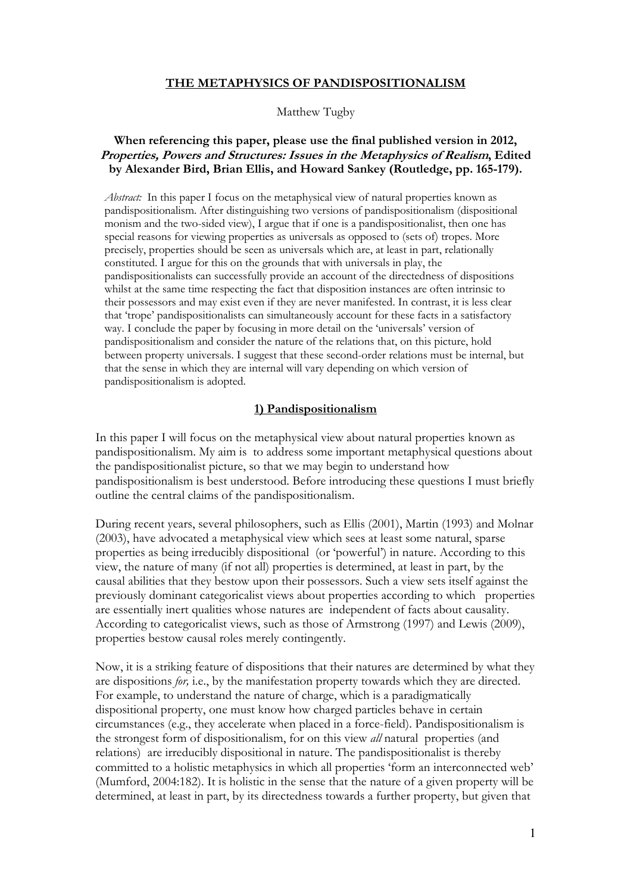#### **THE METAPHYSICS OF PANDISPOSITIONALISM**

Matthew Tugby

#### **When referencing this paper, please use the final published version in 2012, Properties, Powers and Structures: Issues in the Metaphysics of Realism, Edited by Alexander Bird, Brian Ellis, and Howard Sankey (Routledge, pp. 1654179).**

*Abstract:* In this paper I focus on the metaphysical view of natural properties known as pandispositionalism. After distinguishing two versions of pandispositionalism (dispositional monism and the two-sided view), I argue that if one is a pandispositionalist, then one has special reasons for viewing properties as universals as opposed to (sets of) tropes. More precisely, properties should be seen as universals which are, at least in part, relationally constituted. I argue for this on the grounds that with universals in play, the pandispositionalists can successfully provide an account of the directedness of dispositions whilst at the same time respecting the fact that disposition instances are often intrinsic to their possessors and may exist even if they are never manifested. In contrast, it is less clear that 'trope' pandispositionalists can simultaneously account for these facts in a satisfactory way. I conclude the paper by focusing in more detail on the 'universals' version of pandispositionalism and consider the nature of the relations that, on this picture, hold between property universals. I suggest that these second-order relations must be internal, but that the sense in which they are internal will vary depending on which version of pandispositionalism is adopted.

#### **1) Pandispositionalism**

In this paper I will focus on the metaphysical view about natural properties known as pandispositionalism. My aim is to address some important metaphysical questions about the pandispositionalist picture, so that we may begin to understand how pandispositionalism is best understood. Before introducing these questions I must briefly outline the central claims of the pandispositionalism.

During recent years, several philosophers, such as Ellis (2001), Martin (1993) and Molnar (2003), have advocated a metaphysical view which sees at least some natural, sparse properties as being irreducibly dispositional (or 'powerful') in nature. According to this view, the nature of many (if not all) properties is determined, at least in part, by the causal abilities that they bestow upon their possessors. Such a view sets itself against the previously dominant categoricalist views about properties according to which properties are essentially inert qualities whose natures are independent of facts about causality. According to categoricalist views, such as those of Armstrong (1997) and Lewis (2009), properties bestow causal roles merely contingently.

Now, it is a striking feature of dispositions that their natures are determined by what they are dispositions *for,* i.e., by the manifestation property towards which they are directed. For example, to understand the nature of charge, which is a paradigmatically dispositional property, one must know how charged particles behave in certain circumstances (e.g., they accelerate when placed in a force-field). Pandispositionalism is the strongest form of dispositionalism, for on this view *all* natural properties (and relations) are irreducibly dispositional in nature. The pandispositionalist is thereby committed to a holistic metaphysics in which all properties 'form an interconnected web' (Mumford, 2004:182). It is holistic in the sense that the nature of a given property will be determined, at least in part, by its directedness towards a further property, but given that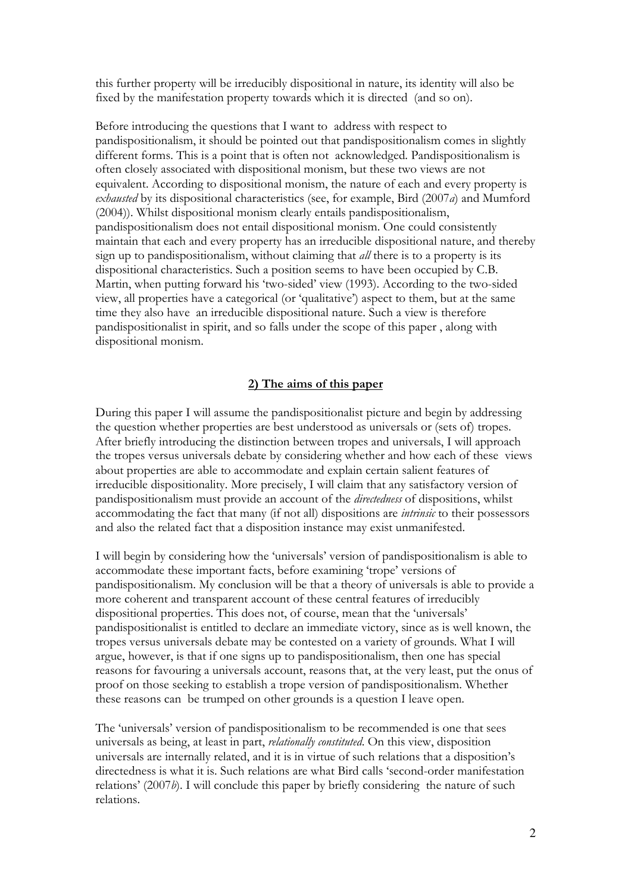this further property will be irreducibly dispositional in nature, its identity will also be fixed by the manifestation property towards which it is directed (and so on).

Before introducing the questions that I want to address with respect to pandispositionalism, it should be pointed out that pandispositionalism comes in slightly different forms. This is a point that is often not acknowledged. Pandispositionalism is often closely associated with dispositional monism, but these two views are not equivalent. According to dispositional monism, the nature of each and every property is *exhausted* by its dispositional characteristics (see, for example, Bird (2007*a*) and Mumford (2004)). Whilst dispositional monism clearly entails pandispositionalism, pandispositionalism does not entail dispositional monism. One could consistently maintain that each and every property has an irreducible dispositional nature, and thereby sign up to pandispositionalism, without claiming that *all* there is to a property is its dispositional characteristics. Such a position seems to have been occupied by C.B. Martin, when putting forward his 'two-sided' view (1993). According to the two-sided view, all properties have a categorical (or 'qualitative') aspect to them, but at the same time they also have an irreducible dispositional nature. Such a view is therefore pandispositionalist in spirit, and so falls under the scope of this paper , along with dispositional monism.

#### **2) The aims of this paper**

During this paper I will assume the pandispositionalist picture and begin by addressing the question whether properties are best understood as universals or (sets of) tropes. After briefly introducing the distinction between tropes and universals, I will approach the tropes versus universals debate by considering whether and how each of these views about properties are able to accommodate and explain certain salient features of irreducible dispositionality. More precisely, I will claim that any satisfactory version of pandispositionalism must provide an account of the *directedness* of dispositions, whilst accommodating the fact that many (if not all) dispositions are *intrinsic* to their possessors and also the related fact that a disposition instance may exist unmanifested.

I will begin by considering how the 'universals' version of pandispositionalism is able to accommodate these important facts, before examining 'trope' versions of pandispositionalism. My conclusion will be that a theory of universals is able to provide a more coherent and transparent account of these central features of irreducibly dispositional properties. This does not, of course, mean that the 'universals' pandispositionalist is entitled to declare an immediate victory, since as is well known, the tropes versus universals debate may be contested on a variety of grounds. What I will argue, however, is that if one signs up to pandispositionalism, then one has special reasons for favouring a universals account, reasons that, at the very least, put the onus of proof on those seeking to establish a trope version of pandispositionalism. Whether these reasons can be trumped on other grounds is a question I leave open.

The 'universals' version of pandispositionalism to be recommended is one that sees universals as being, at least in part, *relationally constituted*. On this view, disposition universals are internally related, and it is in virtue of such relations that a disposition's directedness is what it is. Such relations are what Bird calls 'second-order manifestation relations' (2007*b*). I will conclude this paper by briefly considering the nature of such relations.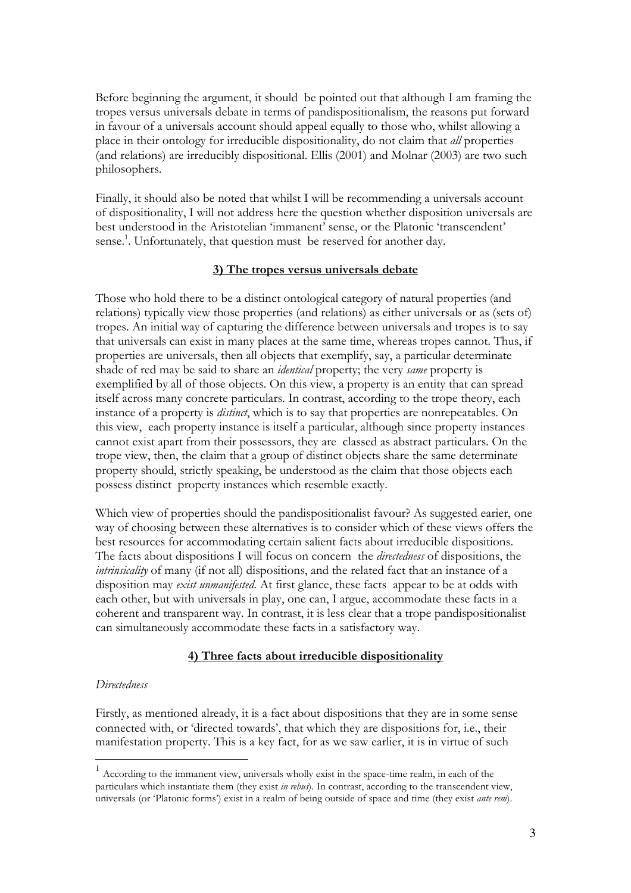Before beginning the argument, it should be pointed out that although I am framing the tropes versus universals debate in terms of pandispositionalism, the reasons put forward in favour of a universals account should appeal equally to those who, whilst allowing a place in their ontology for irreducible dispositionality, do not claim that *all* properties (and relations) are irreducibly dispositional. Ellis (2001) and Molnar (2003) are two such philosophers.

Finally, it should also be noted that whilst I will be recommending a universals account of dispositionality, I will not address here the question whether disposition universals are best understood in the Aristotelian 'immanent' sense, or the Platonic 'transcendent' sense. 1 . Unfortunately, that question must be reserved for another day.

#### **3) The tropes versus universals debate**

Those who hold there to be a distinct ontological category of natural properties (and relations) typically view those properties (and relations) as either universals or as (sets of) tropes. An initial way of capturing the difference between universals and tropes is to say that universals can exist in many places at the same time, whereas tropes cannot. Thus, if properties are universals, then all objects that exemplify, say, a particular determinate shade of red may be said to share an *identical* property; the very *same* property is exemplified by all of those objects. On this view, a property is an entity that can spread itself across many concrete particulars. In contrast, according to the trope theory, each instance of a property is *distinct*, which is to say that properties are nonrepeatables. On this view, each property instance is itself a particular, although since property instances cannot exist apart from their possessors, they are classed as abstract particulars. On the trope view, then, the claim that a group of distinct objects share the same determinate property should, strictly speaking, be understood as the claim that those objects each possess distinct property instances which resemble exactly.

Which view of properties should the pandispositionalist favour? As suggested earier, one way of choosing between these alternatives is to consider which of these views offers the best resources for accommodating certain salient facts about irreducible dispositions. The facts about dispositions I will focus on concern the *directedness* of dispositions, the *intrinsicality* of many (if not all) dispositions, and the related fact that an instance of a disposition may *exist unmanifested*. At first glance, these facts appear to be at odds with each other, but with universals in play, one can, I argue, accommodate these facts in a coherent and transparent way. In contrast, it is less clear that a trope pandispositionalist can simultaneously accommodate these facts in a satisfactory way.

#### **4) Three facts about irreducible dispositionality**

#### *Directedness*

l.

Firstly, as mentioned already, it is a fact about dispositions that they are in some sense connected with, or 'directed towards', that which they are dispositions for, i.e., their manifestation property. This is a key fact, for as we saw earlier, it is in virtue of such

<sup>&</sup>lt;sup>1</sup> According to the immanent view, universals wholly exist in the space-time realm, in each of the particulars which instantiate them (they exist *in rebus*). In contrast, according to the transcendent view, universals (or 'Platonic forms') exist in a realm of being outside of space and time (they exist *ante rem*).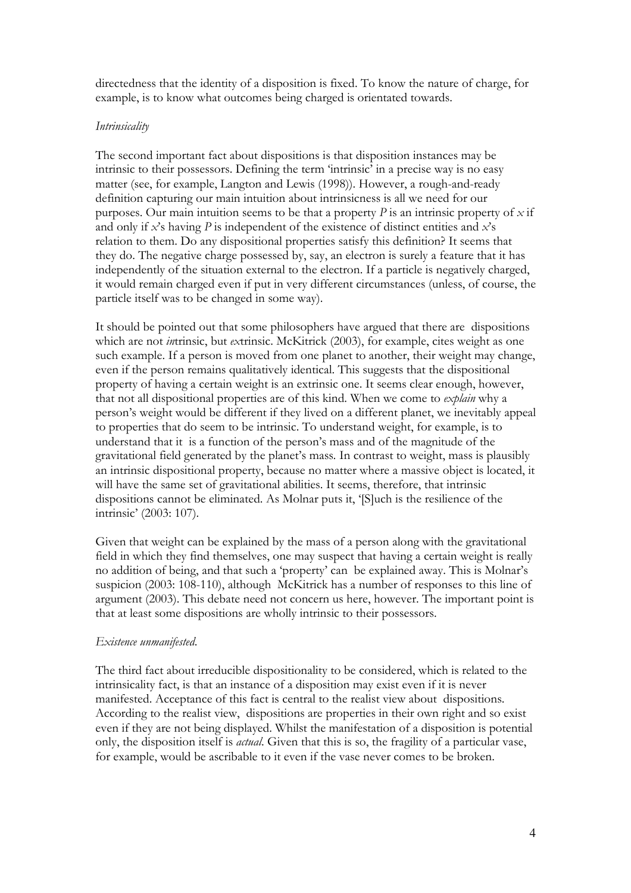directedness that the identity of a disposition is fixed. To know the nature of charge, for example, is to know what outcomes being charged is orientated towards.

# *Intrinsicality*

The second important fact about dispositions is that disposition instances may be intrinsic to their possessors. Defining the term 'intrinsic' in a precise way is no easy matter (see, for example, Langton and Lewis (1998)). However, a rough-and-ready definition capturing our main intuition about intrinsicness is all we need for our purposes. Our main intuition seems to be that a property  $P$  is an intrinsic property of  $x$  if and only if  $x$ 's having  $P$  is independent of the existence of distinct entities and  $x$ 's relation to them. Do any dispositional properties satisfy this definition? It seems that they do. The negative charge possessed by, say, an electron is surely a feature that it has independently of the situation external to the electron. If a particle is negatively charged, it would remain charged even if put in very different circumstances (unless, of course, the particle itself was to be changed in some way).

It should be pointed out that some philosophers have argued that there are dispositions which are not *in*trinsic, but *ex*trinsic. McKitrick (2003), for example, cites weight as one such example. If a person is moved from one planet to another, their weight may change, even if the person remains qualitatively identical. This suggests that the dispositional property of having a certain weight is an extrinsic one. It seems clear enough, however, that not all dispositional properties are of this kind. When we come to *explain* why a person's weight would be different if they lived on a different planet, we inevitably appeal to properties that do seem to be intrinsic. To understand weight, for example, is to understand that it is a function of the person's mass and of the magnitude of the gravitational field generated by the planet's mass*.* In contrast to weight, mass is plausibly an intrinsic dispositional property, because no matter where a massive object is located, it will have the same set of gravitational abilities. It seems, therefore, that intrinsic dispositions cannot be eliminated. As Molnar puts it, '[S]uch is the resilience of the intrinsic' (2003: 107).

Given that weight can be explained by the mass of a person along with the gravitational field in which they find themselves, one may suspect that having a certain weight is really no addition of being, and that such a 'property' can be explained away. This is Molnar's suspicion (2003: 108-110), although McKitrick has a number of responses to this line of argument (2003). This debate need not concern us here, however. The important point is that at least some dispositions are wholly intrinsic to their possessors.

# *Existence unmanifested*.

The third fact about irreducible dispositionality to be considered, which is related to the intrinsicality fact, is that an instance of a disposition may exist even if it is never manifested. Acceptance of this fact is central to the realist view about dispositions. According to the realist view, dispositions are properties in their own right and so exist even if they are not being displayed. Whilst the manifestation of a disposition is potential only, the disposition itself is *actual*. Given that this is so, the fragility of a particular vase, for example, would be ascribable to it even if the vase never comes to be broken.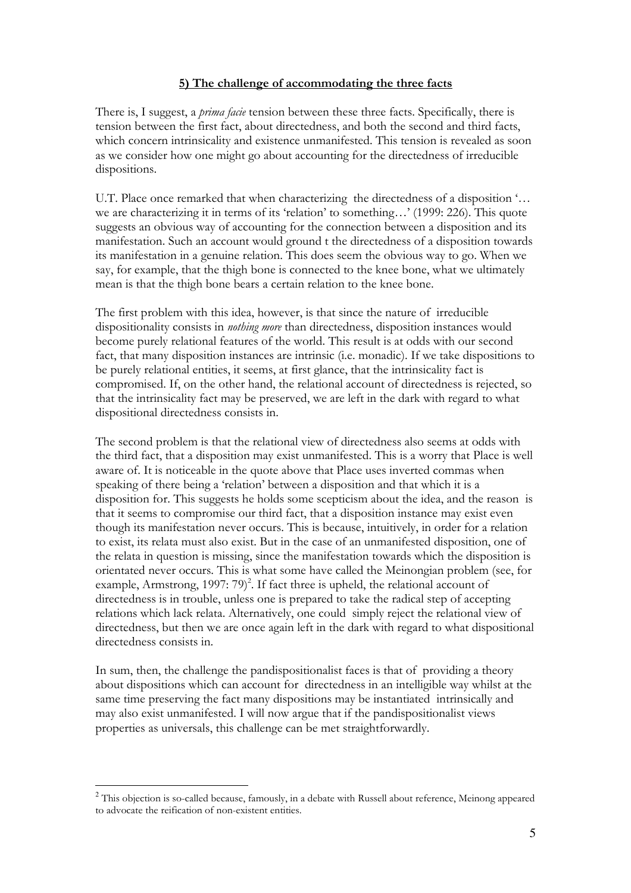# **5) The challenge of accommodating the three facts**

There is, I suggest, a *prima facie* tension between these three facts. Specifically, there is tension between the first fact, about directedness, and both the second and third facts, which concern intrinsicality and existence unmanifested. This tension is revealed as soon as we consider how one might go about accounting for the directedness of irreducible dispositions.

U.T. Place once remarked that when characterizing the directedness of a disposition '… we are characterizing it in terms of its 'relation' to something…' (1999: 226). This quote suggests an obvious way of accounting for the connection between a disposition and its manifestation. Such an account would ground t the directedness of a disposition towards its manifestation in a genuine relation. This does seem the obvious way to go. When we say, for example, that the thigh bone is connected to the knee bone, what we ultimately mean is that the thigh bone bears a certain relation to the knee bone.

The first problem with this idea, however, is that since the nature of irreducible dispositionality consists in *nothing more* than directedness, disposition instances would become purely relational features of the world. This result is at odds with our second fact, that many disposition instances are intrinsic (i.e. monadic). If we take dispositions to be purely relational entities, it seems, at first glance, that the intrinsicality fact is compromised. If, on the other hand, the relational account of directedness is rejected, so that the intrinsicality fact may be preserved, we are left in the dark with regard to what dispositional directedness consists in.

The second problem is that the relational view of directedness also seems at odds with the third fact, that a disposition may exist unmanifested. This is a worry that Place is well aware of. It is noticeable in the quote above that Place uses inverted commas when speaking of there being a 'relation' between a disposition and that which it is a disposition for. This suggests he holds some scepticism about the idea, and the reason is that it seems to compromise our third fact, that a disposition instance may exist even though its manifestation never occurs. This is because, intuitively, in order for a relation to exist, its relata must also exist. But in the case of an unmanifested disposition, one of the relata in question is missing, since the manifestation towards which the disposition is orientated never occurs. This is what some have called the Meinongian problem (see, for example, Armstrong, 1997: 79)<sup>2</sup>. If fact three is upheld, the relational account of directedness is in trouble, unless one is prepared to take the radical step of accepting relations which lack relata. Alternatively, one could simply reject the relational view of directedness, but then we are once again left in the dark with regard to what dispositional directedness consists in.

In sum, then, the challenge the pandispositionalist faces is that of providing a theory about dispositions which can account for directedness in an intelligible way whilst at the same time preserving the fact many dispositions may be instantiated intrinsically and may also exist unmanifested. I will now argue that if the pandispositionalist views properties as universals, this challenge can be met straightforwardly.

<sup>&</sup>lt;sup>2</sup> This objection is so-called because, famously, in a debate with Russell about reference, Meinong appeared to advocate the reification of nonexistent entities.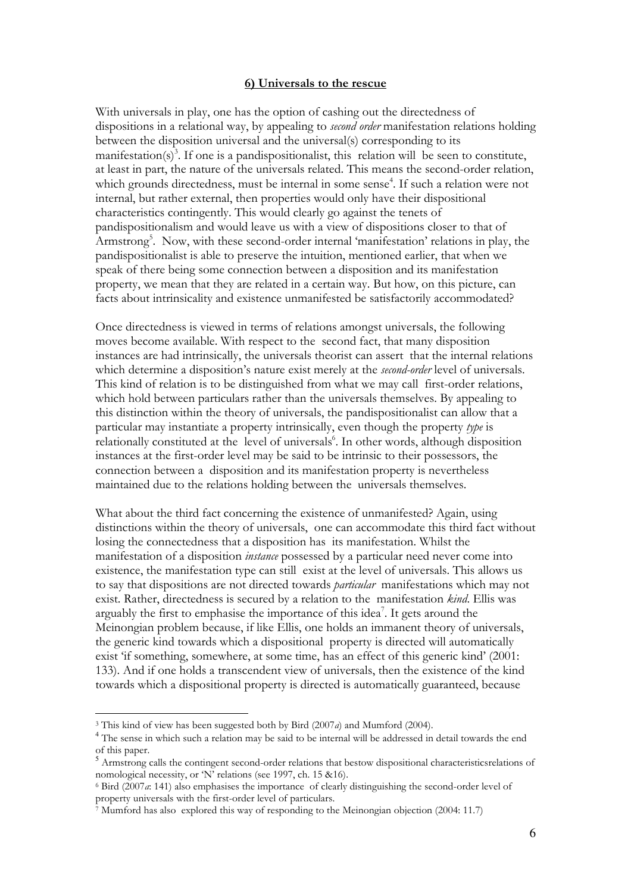#### **6) Universals to the rescue**

With universals in play, one has the option of cashing out the directedness of dispositions in a relational way, by appealing to *second order* manifestation relations holding between the disposition universal and the universal(s) corresponding to its manifestation(s)<sup>3</sup>. If one is a pandispositionalist, this relation will be seen to constitute, at least in part, the nature of the universals related. This means the second-order relation, which grounds directedness, must be internal in some sense 4 . If such a relation were not internal, but rather external, then properties would only have their dispositional characteristics contingently. This would clearly go against the tenets of pandispositionalism and would leave us with a view of dispositions closer to that of Armstrong<sup>5</sup>. Now, with these second-order internal 'manifestation' relations in play, the pandispositionalist is able to preserve the intuition, mentioned earlier, that when we speak of there being some connection between a disposition and its manifestation property, we mean that they are related in a certain way. But how, on this picture, can facts about intrinsicality and existence unmanifested be satisfactorily accommodated?

Once directedness is viewed in terms of relations amongst universals, the following moves become available. With respect to the second fact, that many disposition instances are had intrinsically, the universals theorist can assert that the internal relations which determine a disposition's nature exist merely at the *second-order* level of universals. This kind of relation is to be distinguished from what we may call first-order relations, which hold between particulars rather than the universals themselves. By appealing to this distinction within the theory of universals, the pandispositionalist can allow that a particular may instantiate a property intrinsically, even though the property *type* is relationally constituted at the level of universals<sup>6</sup>. In other words, although disposition instances at the first-order level may be said to be intrinsic to their possessors, the connection between a disposition and its manifestation property is nevertheless maintained due to the relations holding between the universals themselves.

What about the third fact concerning the existence of unmanifested? Again, using distinctions within the theory of universals, one can accommodate this third fact without losing the connectedness that a disposition has its manifestation. Whilst the manifestation of a disposition *instance* possessed by a particular need never come into existence, the manifestation type can still exist at the level of universals. This allows us to say that dispositions are not directed towards *particular* manifestations which may not exist. Rather, directedness is secured by a relation to the manifestation *kind*. Ellis was arguably the first to emphasise the importance of this idea<sup>7</sup>. It gets around the Meinongian problem because, if like Ellis, one holds an immanent theory of universals, the generic kind towards which a dispositional property is directed will automatically exist 'if something, somewhere, at some time, has an effect of this generic kind' (2001: 133). And if one holds a transcendent view of universals, then the existence of the kind towards which a dispositional property is directed is automatically guaranteed, because

<sup>3</sup> This kind of view has been suggested both by Bird (2007*a*) and Mumford (2004).

<sup>&</sup>lt;sup>4</sup> The sense in which such a relation may be said to be internal will be addressed in detail towards the end of this paper.

<sup>&</sup>lt;sup>5</sup> Armstrong calls the contingent second-order relations that bestow dispositional characteristicsrelations of nomological necessity, or 'N' relations (see 1997, ch. 15 &16).

<sup>&</sup>lt;sup>6</sup> Bird (2007*a*: 141) also emphasises the importance of clearly distinguishing the second-order level of property universals with the first-order level of particulars.

<sup>7</sup> Mumford has also explored this way of responding to the Meinongian objection (2004: 11.7)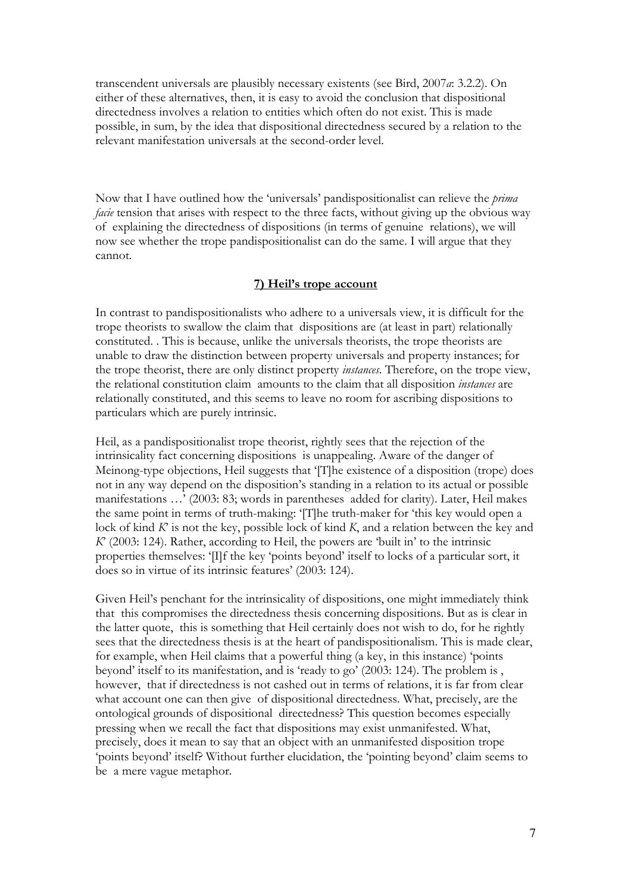transcendent universals are plausibly necessary existents (see Bird, 2007*a*: 3.2.2). On either of these alternatives, then, it is easy to avoid the conclusion that dispositional directedness involves a relation to entities which often do not exist. This is made possible, in sum, by the idea that dispositional directedness secured by a relation to the relevant manifestation universals at the second-order level.

Now that I have outlined how the 'universals' pandispositionalist can relieve the *prima facie* tension that arises with respect to the three facts, without giving up the obvious way of explaining the directedness of dispositions (in terms of genuine relations), we will now see whether the trope pandispositionalist can do the same. I will argue that they cannot.

#### **7) Heil's trope account**

In contrast to pandispositionalists who adhere to a universals view, it is difficult for the trope theorists to swallow the claim that dispositions are (at least in part) relationally constituted. . This is because, unlike the universals theorists, the trope theorists are unable to draw the distinction between property universals and property instances; for the trope theorist, there are only distinct property *instances*. Therefore, on the trope view, the relational constitution claim amounts to the claim that all disposition *instances* are relationally constituted, and this seems to leave no room for ascribing dispositions to particulars which are purely intrinsic.

Heil, as a pandispositionalist trope theorist, rightly sees that the rejection of the intrinsicality fact concerning dispositions is unappealing. Aware of the danger of Meinong-type objections, Heil suggests that '[T]he existence of a disposition (trope) does not in any way depend on the disposition's standing in a relation to its actual or possible manifestations …' (2003: 83; words in parentheses added for clarity). Later, Heil makes the same point in terms of truth-making: '[T]he truth-maker for 'this key would open a lock of kind *K*' is not the key, possible lock of kind *K*, and a relation between the key and *K*' (2003: 124). Rather, according to Heil, the powers are 'built in' to the intrinsic properties themselves: '[I]f the key 'points beyond' itself to locks of a particular sort, it does so in virtue of its intrinsic features' (2003: 124).

Given Heil's penchant for the intrinsicality of dispositions, one might immediately think that this compromises the directedness thesis concerning dispositions. But as is clear in the latter quote, this is something that Heil certainly does not wish to do, for he rightly sees that the directedness thesis is at the heart of pandispositionalism. This is made clear, for example, when Heil claims that a powerful thing (a key, in this instance) 'points beyond' itself to its manifestation, and is 'ready to go' (2003: 124). The problem is , however, that if directedness is not cashed out in terms of relations, it is far from clear what account one can then give of dispositional directedness. What, precisely, are the ontological grounds of dispositional directedness? This question becomes especially pressing when we recall the fact that dispositions may exist unmanifested. What, precisely, does it mean to say that an object with an unmanifested disposition trope 'points beyond' itself? Without further elucidation, the 'pointing beyond' claim seems to be a mere vague metaphor.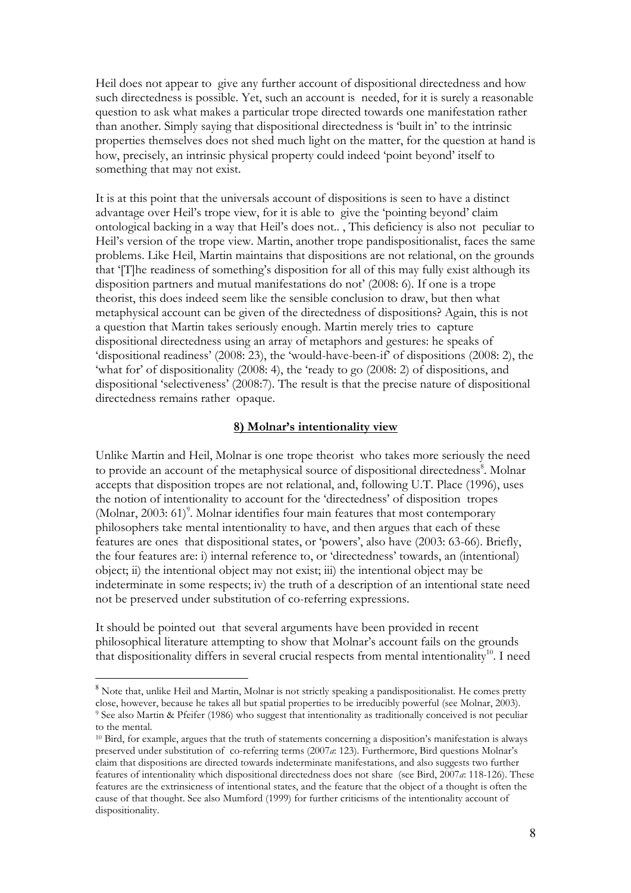Heil does not appear to give any further account of dispositional directedness and how such directedness is possible. Yet, such an account is needed, for it is surely a reasonable question to ask what makes a particular trope directed towards one manifestation rather than another. Simply saying that dispositional directedness is 'built in' to the intrinsic properties themselves does not shed much light on the matter, for the question at hand is how, precisely, an intrinsic physical property could indeed 'point beyond' itself to something that may not exist.

It is at this point that the universals account of dispositions is seen to have a distinct advantage over Heil's trope view, for it is able to give the 'pointing beyond' claim ontological backing in a way that Heil's does not.. , This deficiency is also not peculiar to Heil's version of the trope view. Martin, another trope pandispositionalist, faces the same problems. Like Heil, Martin maintains that dispositions are not relational, on the grounds that '[T]he readiness of something's disposition for all of this may fully exist although its disposition partners and mutual manifestations do not' (2008: 6). If one is a trope theorist, this does indeed seem like the sensible conclusion to draw, but then what metaphysical account can be given of the directedness of dispositions? Again, this is not a question that Martin takes seriously enough. Martin merely tries to capture dispositional directedness using an array of metaphors and gestures: he speaks of 'dispositional readiness' (2008: 23), the 'would-have-been-if' of dispositions (2008: 2), the 'what for' of dispositionality (2008: 4), the 'ready to go (2008: 2) of dispositions, and dispositional 'selectiveness' (2008:7). The result is that the precise nature of dispositional directedness remains rather opaque.

#### **8) Molnar's intentionality view**

Unlike Martin and Heil, Molnar is one trope theorist who takes more seriously the need to provide an account of the metaphysical source of dispositional directedness<sup>8</sup>. Molnar accepts that disposition tropes are not relational, and, following U.T. Place (1996), uses the notion of intentionality to account for the 'directedness' of disposition tropes (Molnar, 2003: 61)<sup>9</sup>. Molnar identifies four main features that most contemporary philosophers take mental intentionality to have, and then argues that each of these features are ones that dispositional states, or 'powers', also have (2003: 63-66). Briefly, the four features are: i) internal reference to, or 'directedness' towards, an (intentional) object; ii) the intentional object may not exist; iii) the intentional object may be indeterminate in some respects; iv) the truth of a description of an intentional state need not be preserved under substitution of co-referring expressions.

It should be pointed out that several arguments have been provided in recent philosophical literature attempting to show that Molnar's account fails on the grounds that dispositionality differs in several crucial respects from mental intentionality<sup>10</sup>. I need

<sup>&</sup>lt;sup>8</sup> Note that, unlike Heil and Martin, Molnar is not strictly speaking a pandispositionalist. He comes pretty close, however, because he takes all but spatial properties to be irreducibly powerful (see Molnar, 2003). 9 See also Martin & Pfeifer (1986) who suggest that intentionality as traditionally conceived is not peculiar to the mental.

<sup>10</sup> Bird, for example, argues that the truth of statements concerning a disposition's manifestation is always preserved under substitution of coreferring terms (2007*a*: 123). Furthermore, Bird questions Molnar's claim that dispositions are directed towards indeterminate manifestations, and also suggests two further features of intentionality which dispositional directedness does not share (see Bird,  $2007a$ : 118-126). These features are the extrinsicness of intentional states, and the feature that the object of a thought is often the cause of that thought. See also Mumford (1999) for further criticisms of the intentionality account of dispositionality.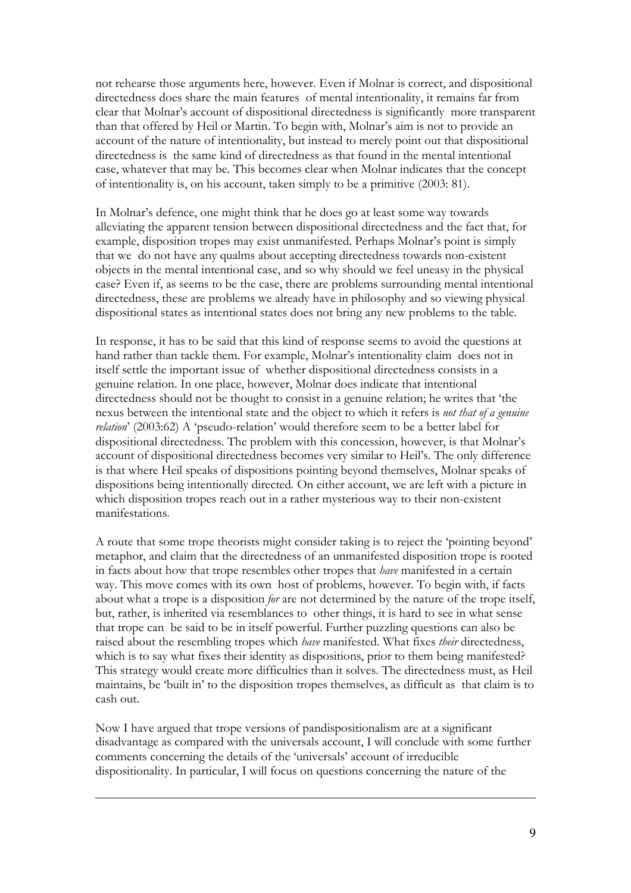not rehearse those arguments here, however. Even if Molnar is correct, and dispositional directedness does share the main features of mental intentionality, it remains far from clear that Molnar's account of dispositional directedness is significantly more transparent than that offered by Heil or Martin. To begin with, Molnar's aim is not to provide an account of the nature of intentionality, but instead to merely point out that dispositional directedness is the same kind of directedness as that found in the mental intentional case, whatever that may be. This becomes clear when Molnar indicates that the concept of intentionality is, on his account, taken simply to be a primitive (2003: 81).

In Molnar's defence, one might think that he does go at least some way towards alleviating the apparent tension between dispositional directedness and the fact that, for example, disposition tropes may exist unmanifested. Perhaps Molnar's point is simply that we do not have any qualms about accepting directedness towards nonexistent objects in the mental intentional case, and so why should we feel uneasy in the physical case? Even if, as seems to be the case, there are problems surrounding mental intentional directedness, these are problems we already have in philosophy and so viewing physical dispositional states as intentional states does not bring any new problems to the table.

In response, it has to be said that this kind of response seems to avoid the questions at hand rather than tackle them. For example, Molnar's intentionality claim does not in itself settle the important issue of whether dispositional directedness consists in a genuine relation. In one place, however, Molnar does indicate that intentional directedness should not be thought to consist in a genuine relation; he writes that 'the nexus between the intentional state and the object to which it refers is *not that of a genuine relation*' (2003:62) A 'pseudo-relation' would therefore seem to be a better label for dispositional directedness. The problem with this concession, however, is that Molnar's account of dispositional directedness becomes very similar to Heil's. The only difference is that where Heil speaks of dispositions pointing beyond themselves, Molnar speaks of dispositions being intentionally directed. On either account, we are left with a picture in which disposition tropes reach out in a rather mysterious way to their non-existent manifestations.

A route that some trope theorists might consider taking is to reject the 'pointing beyond' metaphor, and claim that the directedness of an unmanifested disposition trope is rooted in facts about how that trope resembles other tropes that *have* manifested in a certain way. This move comes with its own host of problems, however. To begin with, if facts about what a trope is a disposition *for* are not determined by the nature of the trope itself, but, rather, is inherited via resemblances to other things, it is hard to see in what sense that trope can be said to be in itself powerful. Further puzzling questions can also be raised about the resembling tropes which *have* manifested. What fixes *their* directedness, which is to say what fixes their identity as dispositions, prior to them being manifested? This strategy would create more difficulties than it solves. The directedness must, as Heil maintains, be 'built in' to the disposition tropes themselves, as difficult as that claim is to cash out.

Now I have argued that trope versions of pandispositionalism are at a significant disadvantage as compared with the universals account, I will conclude with some further comments concerning the details of the 'universals' account of irreducible dispositionality. In particular, I will focus on questions concerning the nature of the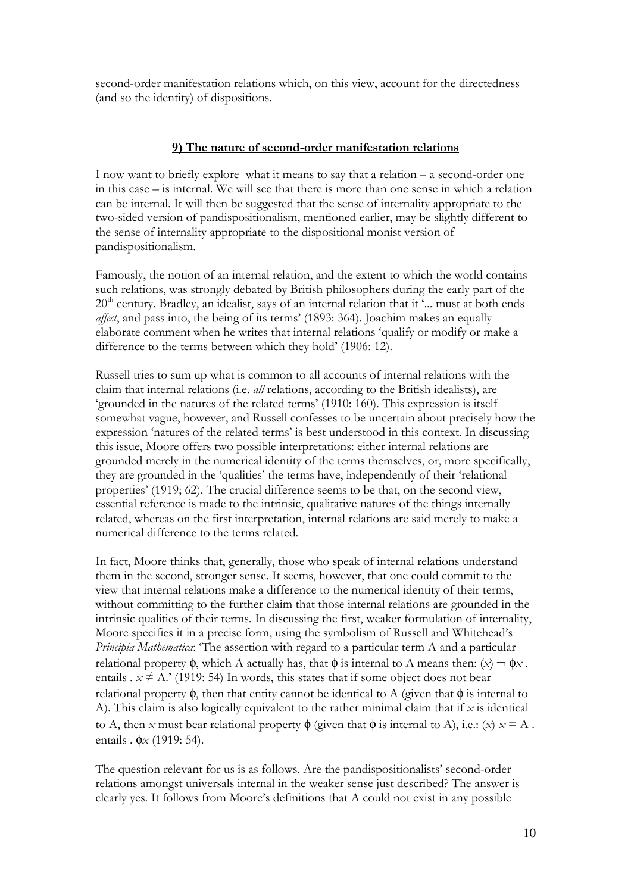second-order manifestation relations which, on this view, account for the directedness (and so the identity) of dispositions.

#### **9) The nature of second-order manifestation relations**

I now want to briefly explore what it means to say that a relation  $-$  a second-order one in this case – is internal. We will see that there is more than one sense in which a relation can be internal. It will then be suggested that the sense of internality appropriate to the two-sided version of pandispositionalism, mentioned earlier, may be slightly different to the sense of internality appropriate to the dispositional monist version of pandispositionalism.

Famously, the notion of an internal relation, and the extent to which the world contains such relations, was strongly debated by British philosophers during the early part of the  $20<sup>th</sup>$  century. Bradley, an idealist, says of an internal relation that it '... must at both ends *affect*, and pass into, the being of its terms' (1893: 364). Joachim makes an equally elaborate comment when he writes that internal relations 'qualify or modify or make a difference to the terms between which they hold' (1906: 12).

Russell tries to sum up what is common to all accounts of internal relations with the claim that internal relations (i.e. *all* relations, according to the British idealists), are 'grounded in the natures of the related terms' (1910: 160). This expression is itself somewhat vague, however, and Russell confesses to be uncertain about precisely how the expression 'natures of the related terms' is best understood in this context. In discussing this issue, Moore offers two possible interpretations: either internal relations are grounded merely in the numerical identity of the terms themselves, or, more specifically, they are grounded in the 'qualities' the terms have, independently of their 'relational properties' (1919; 62). The crucial difference seems to be that, on the second view, essential reference is made to the intrinsic, qualitative natures of the things internally related, whereas on the first interpretation, internal relations are said merely to make a numerical difference to the terms related.

In fact, Moore thinks that, generally, those who speak of internal relations understand them in the second, stronger sense. It seems, however, that one could commit to the view that internal relations make a difference to the numerical identity of their terms, without committing to the further claim that those internal relations are grounded in the intrinsic qualities of their terms. In discussing the first, weaker formulation of internality, Moore specifies it in a precise form, using the symbolism of Russell and Whitehead's *Principia Mathematica*: 'The assertion with regard to a particular term A and a particular relational property  $\phi$ , which A actually has, that  $\phi$  is internal to A means then:  $(x) \rightarrow \phi x$ . entails .  $x \neq A$ .' (1919: 54) In words, this states that if some object does not bear relational property  $\phi$ , then that entity cannot be identical to A (given that  $\phi$  is internal to A). This claim is also logically equivalent to the rather minimal claim that if *x* is identical to A, then *x* must bear relational property  $\phi$  (given that  $\phi$  is internal to A), i.e.: (*x*)  $x = A$ . entails . φ*x* (1919: 54).

The question relevant for us is as follows. Are the pandispositionalists' second-order relations amongst universals internal in the weaker sense just described? The answer is clearly yes. It follows from Moore's definitions that A could not exist in any possible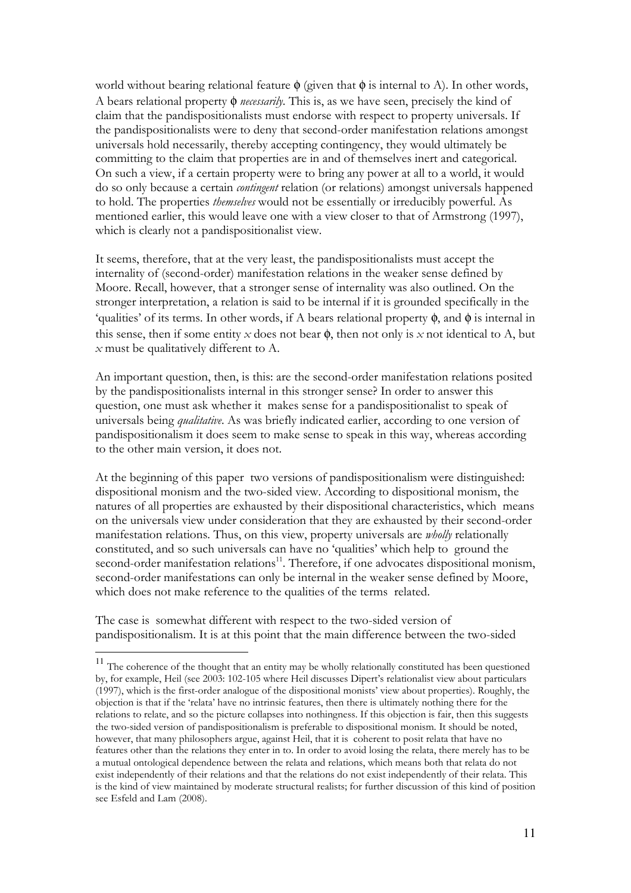world without bearing relational feature  $\phi$  (given that  $\phi$  is internal to A). In other words, A bears relational property φ *necessarily*. This is, as we have seen, precisely the kind of claim that the pandispositionalists must endorse with respect to property universals. If the pandispositionalists were to deny that second-order manifestation relations amongst universals hold necessarily, thereby accepting contingency, they would ultimately be committing to the claim that properties are in and of themselves inert and categorical. On such a view, if a certain property were to bring any power at all to a world, it would do so only because a certain *contingent* relation (or relations) amongst universals happened to hold. The properties *themselves* would not be essentially or irreducibly powerful. As mentioned earlier, this would leave one with a view closer to that of Armstrong (1997), which is clearly not a pandispositionalist view.

It seems, therefore, that at the very least, the pandispositionalists must accept the internality of (second-order) manifestation relations in the weaker sense defined by Moore. Recall, however, that a stronger sense of internality was also outlined. On the stronger interpretation, a relation is said to be internal if it is grounded specifically in the 'qualities' of its terms. In other words, if A bears relational property φ, and φ is internal in this sense, then if some entity *x* does not bear  $\phi$ , then not only is *x* not identical to A, but *x* must be qualitatively different to A.

An important question, then, is this: are the second-order manifestation relations posited by the pandispositionalists internal in this stronger sense? In order to answer this question, one must ask whether it makes sense for a pandispositionalist to speak of universals being *qualitative*. As was briefly indicated earlier, according to one version of pandispositionalism it does seem to make sense to speak in this way, whereas according to the other main version, it does not.

At the beginning of this paper two versions of pandispositionalism were distinguished: dispositional monism and the two-sided view. According to dispositional monism, the natures of all properties are exhausted by their dispositional characteristics, which means on the universals view under consideration that they are exhausted by their second-order manifestation relations. Thus, on this view, property universals are *wholly* relationally constituted, and so such universals can have no 'qualities' which help to ground the second-order manifestation relations<sup>11</sup>. Therefore, if one advocates dispositional monism, second-order manifestations can only be internal in the weaker sense defined by Moore, which does not make reference to the qualities of the terms related.

The case is somewhat different with respect to the two-sided version of pandispositionalism. It is at this point that the main difference between the two-sided

<sup>&</sup>lt;sup>11</sup> The coherence of the thought that an entity may be wholly relationally constituted has been questioned by, for example, Heil (see 2003: 102-105 where Heil discusses Dipert's relationalist view about particulars (1997), which is the first-order analogue of the dispositional monists' view about properties). Roughly, the objection is that if the 'relata' have no intrinsic features, then there is ultimately nothing there for the relations to relate, and so the picture collapses into nothingness. If this objection is fair, then this suggests the twosided version of pandispositionalism is preferable to dispositional monism. It should be noted, however, that many philosophers argue, against Heil, that it is coherent to posit relata that have no features other than the relations they enter in to. In order to avoid losing the relata, there merely has to be a mutual ontological dependence between the relata and relations, which means both that relata do not exist independently of their relations and that the relations do not exist independently of their relata. This is the kind of view maintained by moderate structural realists; for further discussion of this kind of position see Esfeld and Lam (2008).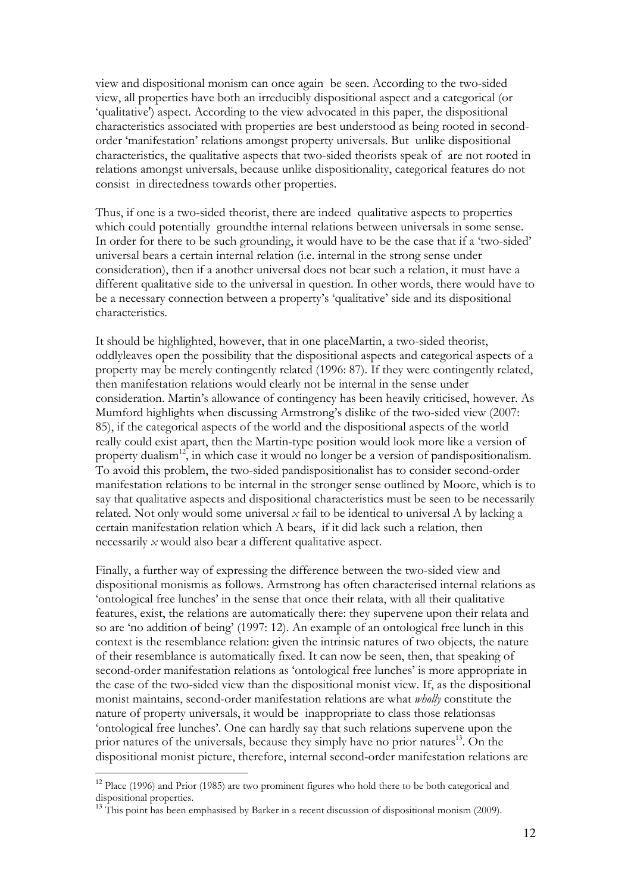view and dispositional monism can once again be seen. According to the two-sided view, all properties have both an irreducibly dispositional aspect and a categorical (or 'qualitative') aspect. According to the view advocated in this paper, the dispositional characteristics associated with properties are best understood as being rooted in second order 'manifestation' relations amongst property universals. But unlike dispositional characteristics, the qualitative aspects that two-sided theorists speak of are not rooted in relations amongst universals, because unlike dispositionality, categorical features do not consist in directedness towards other properties.

Thus, if one is a two-sided theorist, there are indeed qualitative aspects to properties which could potentially groundthe internal relations between universals in some sense. In order for there to be such grounding, it would have to be the case that if a 'two-sided' universal bears a certain internal relation (i.e. internal in the strong sense under consideration), then if a another universal does not bear such a relation, it must have a different qualitative side to the universal in question. In other words, there would have to be a necessary connection between a property's 'qualitative' side and its dispositional characteristics.

It should be highlighted, however, that in one placeMartin, a two-sided theorist, oddlyleaves open the possibility that the dispositional aspects and categorical aspects of a property may be merely contingently related (1996: 87). If they were contingently related, then manifestation relations would clearly not be internal in the sense under consideration. Martin's allowance of contingency has been heavily criticised, however. As Mumford highlights when discussing Armstrong's dislike of the two-sided view (2007: 85), if the categorical aspects of the world and the dispositional aspects of the world really could exist apart, then the Martin-type position would look more like a version of property dualism<sup>12</sup>, in which case it would no longer be a version of pandispositionalism. To avoid this problem, the two-sided pandispositionalist has to consider second-order manifestation relations to be internal in the stronger sense outlined by Moore, which is to say that qualitative aspects and dispositional characteristics must be seen to be necessarily related. Not only would some universal  $x$  fail to be identical to universal A by lacking a certain manifestation relation which A bears, if it did lack such a relation, then necessarily *x* would also bear a different qualitative aspect.

Finally, a further way of expressing the difference between the two-sided view and dispositional monismis as follows. Armstrong has often characterised internal relations as 'ontological free lunches' in the sense that once their relata, with all their qualitative features, exist, the relations are automatically there: they supervene upon their relata and so are 'no addition of being' (1997: 12). An example of an ontological free lunch in this context is the resemblance relation: given the intrinsic natures of two objects, the nature of their resemblance is automatically fixed. It can now be seen, then, that speaking of second-order manifestation relations as 'ontological free lunches' is more appropriate in the case of the twosided view than the dispositional monist view. If, as the dispositional monist maintains, second-order manifestation relations are what *wholly* constitute the nature of property universals, it would be inappropriate to class those relationsas 'ontological free lunches'. One can hardly say that such relations supervene upon the prior natures of the universals, because they simply have no prior natures<sup>13</sup>. On the dispositional monist picture, therefore, internal second-order manifestation relations are

<sup>&</sup>lt;sup>12</sup> Place (1996) and Prior (1985) are two prominent figures who hold there to be both categorical and dispositional properties.

<sup>&</sup>lt;sup>13</sup> This point has been emphasised by Barker in a recent discussion of dispositional monism (2009).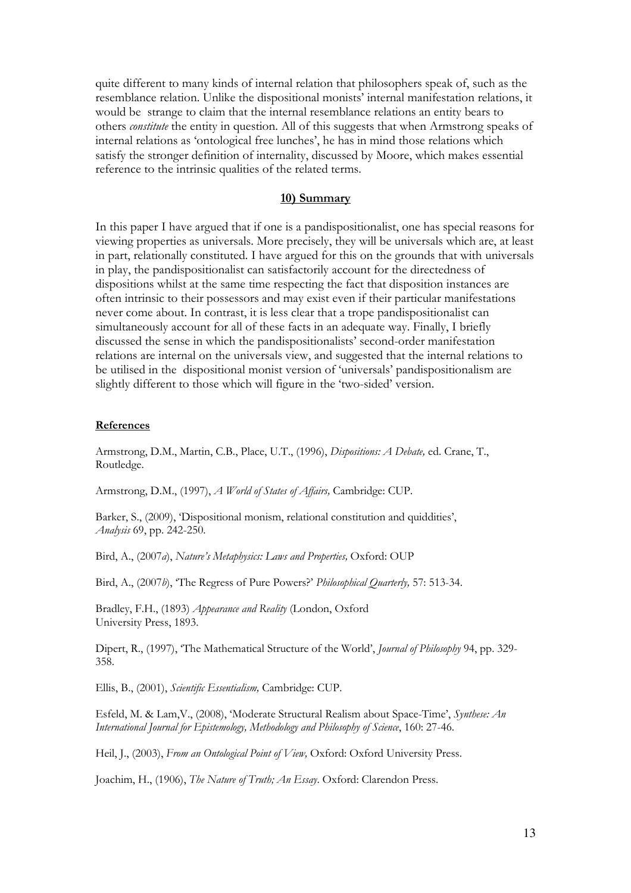quite different to many kinds of internal relation that philosophers speak of, such as the resemblance relation. Unlike the dispositional monists' internal manifestation relations, it would be strange to claim that the internal resemblance relations an entity bears to others *constitute* the entity in question. All of this suggests that when Armstrong speaks of internal relations as 'ontological free lunches', he has in mind those relations which satisfy the stronger definition of internality, discussed by Moore, which makes essential reference to the intrinsic qualities of the related terms.

#### **10) Summary**

In this paper I have argued that if one is a pandispositionalist, one has special reasons for viewing properties as universals. More precisely, they will be universals which are, at least in part, relationally constituted. I have argued for this on the grounds that with universals in play, the pandispositionalist can satisfactorily account for the directedness of dispositions whilst at the same time respecting the fact that disposition instances are often intrinsic to their possessors and may exist even if their particular manifestations never come about. In contrast, it is less clear that a trope pandispositionalist can simultaneously account for all of these facts in an adequate way. Finally, I briefly discussed the sense in which the pandispositionalists' second-order manifestation relations are internal on the universals view, and suggested that the internal relations to be utilised in the dispositional monist version of 'universals' pandispositionalism are slightly different to those which will figure in the 'two-sided' version.

#### **References**

Armstrong, D.M., Martin, C.B., Place, U.T., (1996), *Dispositions: A Debate,* ed. Crane, T., Routledge.

Armstrong, D.M., (1997), *A World of States of Affairs,* Cambridge: CUP.

Barker, S., (2009), 'Dispositional monism, relational constitution and quiddities', *Analysis* 69, pp. 242-250.

Bird, A., (2007*a*), *Nature's Metaphysics: Laws and Properties,* Oxford: OUP

Bird, A., (2007b), 'The Regress of Pure Powers?' *Philosophical Quarterly*, 57: 513-34.

Bradley, F.H., (1893) *Appearance and Reality* (London, Oxford University Press, 1893.

Dipert, R., (1997), 'The Mathematical Structure of the World', *Journal of Philosophy* 94, pp. 329 358.

Ellis, B., (2001), *Scientific Essentialism,* Cambridge: CUP.

Esfeld, M. & Lam, V., (2008), 'Moderate Structural Realism about Space-Time', *Synthese: An International Journal for Epistemology, Methodology and Philosophy of Science*, 160: 2746.

Heil, J., (2003), *From an Ontological Point of View,* Oxford: Oxford University Press.

Joachim, H., (1906), *The Nature of Truth; An Essay*. Oxford: Clarendon Press.